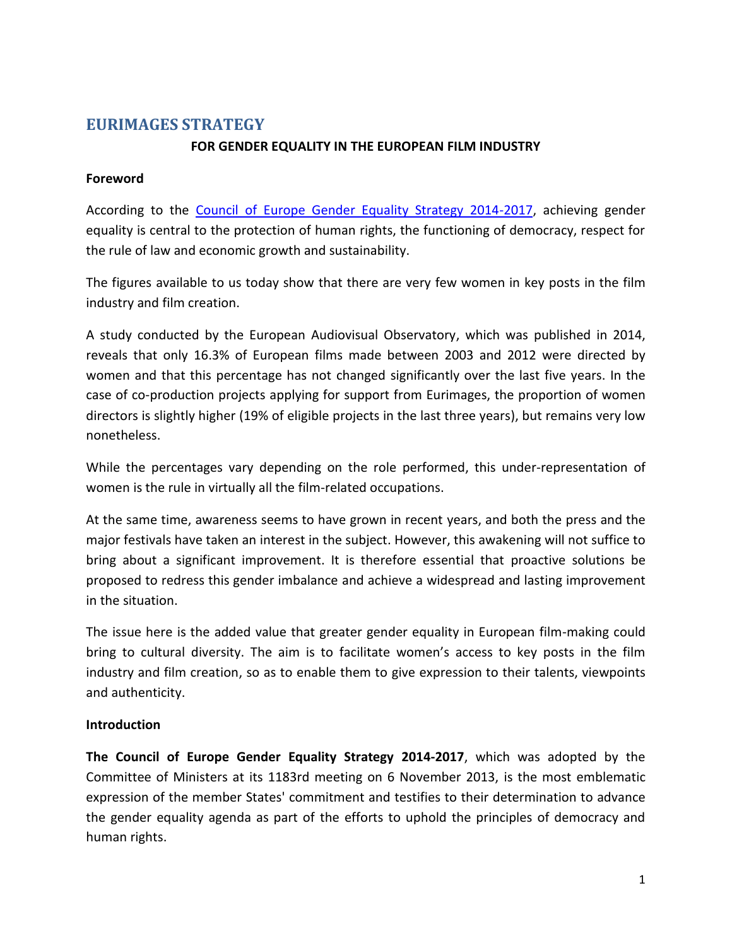# **EURIMAGES STRATEGY**

#### **FOR GENDER EQUALITY IN THE EUROPEAN FILM INDUSTRY**

#### **Foreword**

According to the [Council of Europe Gender Equality Strategy 2014-2017,](https://www.coe.int/t/dghl/standardsetting/equality/02_GenderEqualityProgramme/Council%20of%20Europe%20Gender%20Equality%20Strategy%202014-2017.pdf) achieving gender equality is central to the protection of human rights, the functioning of democracy, respect for the rule of law and economic growth and sustainability.

The figures available to us today show that there are very few women in key posts in the film industry and film creation.

A study conducted by the European Audiovisual Observatory, which was published in 2014, reveals that only 16.3% of European films made between 2003 and 2012 were directed by women and that this percentage has not changed significantly over the last five years. In the case of co-production projects applying for support from Eurimages, the proportion of women directors is slightly higher (19% of eligible projects in the last three years), but remains very low nonetheless.

While the percentages vary depending on the role performed, this under-representation of women is the rule in virtually all the film-related occupations.

At the same time, awareness seems to have grown in recent years, and both the press and the major festivals have taken an interest in the subject. However, this awakening will not suffice to bring about a significant improvement. It is therefore essential that proactive solutions be proposed to redress this gender imbalance and achieve a widespread and lasting improvement in the situation.

The issue here is the added value that greater gender equality in European film-making could bring to cultural diversity. The aim is to facilitate women's access to key posts in the film industry and film creation, so as to enable them to give expression to their talents, viewpoints and authenticity.

#### **Introduction**

**The Council of Europe Gender Equality Strategy 2014-2017**, which was adopted by the Committee of Ministers at its 1183rd meeting on 6 November 2013, is the most emblematic expression of the member States' commitment and testifies to their determination to advance the gender equality agenda as part of the efforts to uphold the principles of democracy and human rights.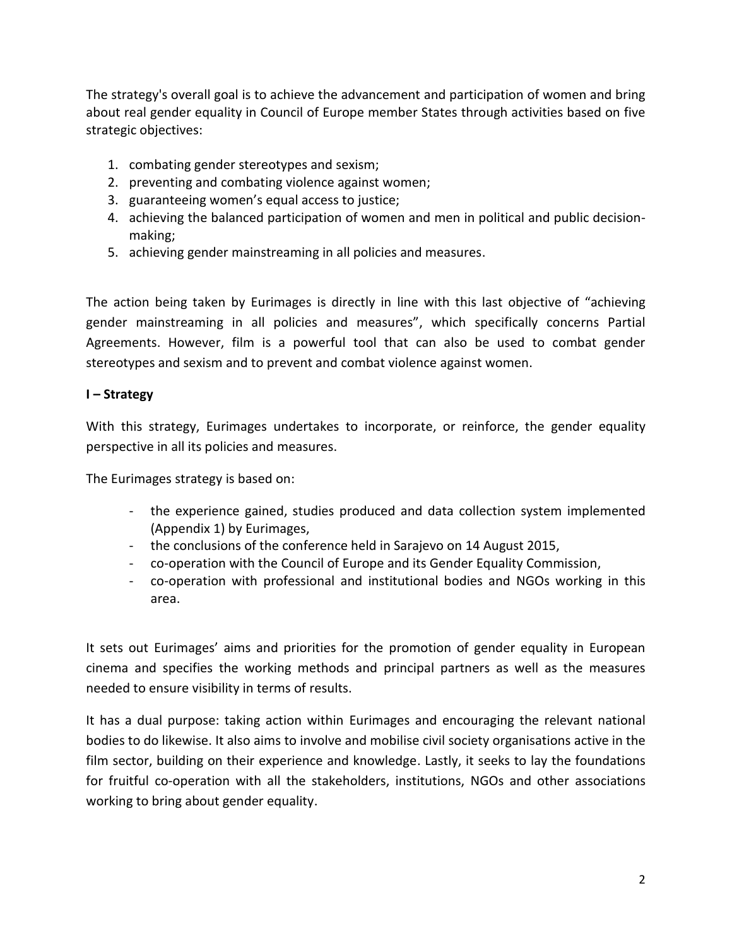The strategy's overall goal is to achieve the advancement and participation of women and bring about real gender equality in Council of Europe member States through activities based on five strategic objectives:

- 1. combating gender stereotypes and sexism;
- 2. preventing and combating violence against women;
- 3. guaranteeing women's equal access to justice;
- 4. achieving the balanced participation of women and men in political and public decisionmaking;
- 5. achieving gender mainstreaming in all policies and measures.

The action being taken by Eurimages is directly in line with this last objective of "achieving gender mainstreaming in all policies and measures", which specifically concerns Partial Agreements. However, film is a powerful tool that can also be used to combat gender stereotypes and sexism and to prevent and combat violence against women.

### **I – Strategy**

With this strategy, Eurimages undertakes to incorporate, or reinforce, the gender equality perspective in all its policies and measures.

The Eurimages strategy is based on:

- the experience gained, studies produced and data collection system implemented (Appendix 1) by Eurimages,
- the conclusions of the conference held in Sarajevo on 14 August 2015,
- co-operation with the Council of Europe and its Gender Equality Commission,
- co-operation with professional and institutional bodies and NGOs working in this area.

It sets out Eurimages' aims and priorities for the promotion of gender equality in European cinema and specifies the working methods and principal partners as well as the measures needed to ensure visibility in terms of results.

It has a dual purpose: taking action within Eurimages and encouraging the relevant national bodies to do likewise. It also aims to involve and mobilise civil society organisations active in the film sector, building on their experience and knowledge. Lastly, it seeks to lay the foundations for fruitful co-operation with all the stakeholders, institutions, NGOs and other associations working to bring about gender equality.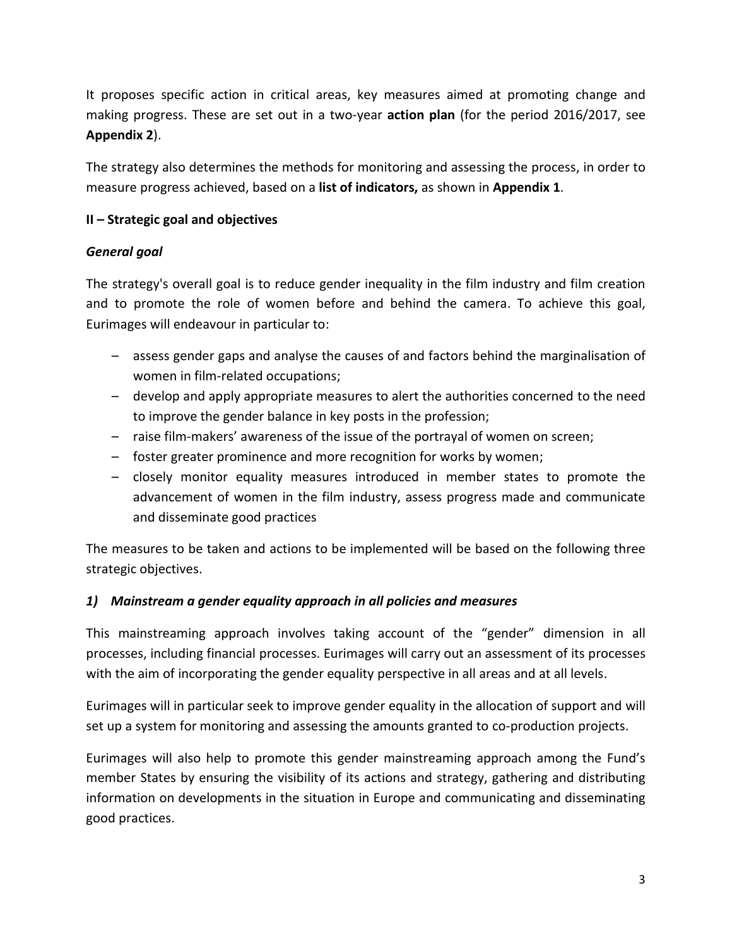It proposes specific action in critical areas, key measures aimed at promoting change and making progress. These are set out in a two-year **action plan** (for the period 2016/2017, see **Appendix 2**).

The strategy also determines the methods for monitoring and assessing the process, in order to measure progress achieved, based on a **list of indicators,** as shown in **Appendix 1**.

### **II – Strategic goal and objectives**

### *General goal*

The strategy's overall goal is to reduce gender inequality in the film industry and film creation and to promote the role of women before and behind the camera. To achieve this goal, Eurimages will endeavour in particular to:

- assess gender gaps and analyse the causes of and factors behind the marginalisation of women in film-related occupations;
- develop and apply appropriate measures to alert the authorities concerned to the need to improve the gender balance in key posts in the profession;
- raise film-makers' awareness of the issue of the portrayal of women on screen;
- foster greater prominence and more recognition for works by women;
- closely monitor equality measures introduced in member states to promote the advancement of women in the film industry, assess progress made and communicate and disseminate good practices

The measures to be taken and actions to be implemented will be based on the following three strategic objectives.

## *1) Mainstream a gender equality approach in all policies and measures*

This mainstreaming approach involves taking account of the "gender" dimension in all processes, including financial processes. Eurimages will carry out an assessment of its processes with the aim of incorporating the gender equality perspective in all areas and at all levels.

Eurimages will in particular seek to improve gender equality in the allocation of support and will set up a system for monitoring and assessing the amounts granted to co-production projects.

Eurimages will also help to promote this gender mainstreaming approach among the Fund's member States by ensuring the visibility of its actions and strategy, gathering and distributing information on developments in the situation in Europe and communicating and disseminating good practices.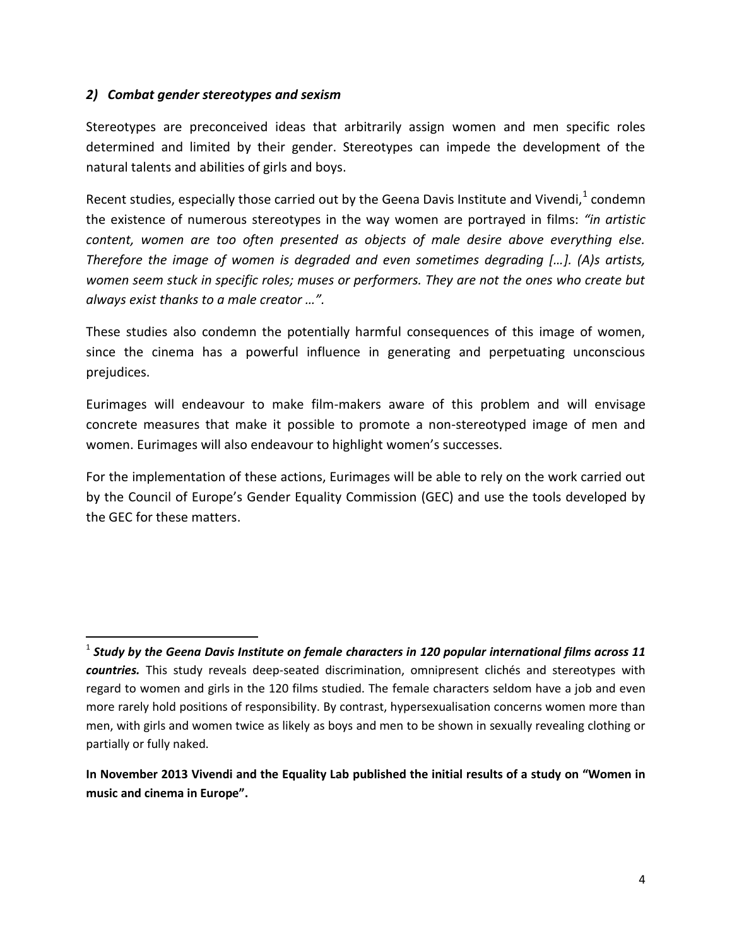#### *2) Combat gender stereotypes and sexism*

 $\overline{a}$ 

Stereotypes are preconceived ideas that arbitrarily assign women and men specific roles determined and limited by their gender. Stereotypes can impede the development of the natural talents and abilities of girls and boys.

Recent studies, especially those carried out by the Geena Davis Institute and Vivendi,  $1$  condemn the existence of numerous stereotypes in the way women are portrayed in films: *"in artistic content, women are too often presented as objects of male desire above everything else. Therefore the image of women is degraded and even sometimes degrading […]. (A)s artists, women seem stuck in specific roles; muses or performers. They are not the ones who create but always exist thanks to a male creator …".*

These studies also condemn the potentially harmful consequences of this image of women, since the cinema has a powerful influence in generating and perpetuating unconscious prejudices.

Eurimages will endeavour to make film-makers aware of this problem and will envisage concrete measures that make it possible to promote a non-stereotyped image of men and women. Eurimages will also endeavour to highlight women's successes.

For the implementation of these actions, Eurimages will be able to rely on the work carried out by the Council of Europe's Gender Equality Commission (GEC) and use the tools developed by the GEC for these matters.

<sup>1</sup> *Study by the Geena Davis Institute on female characters in 120 popular international films across 11 countries.* This study reveals deep-seated discrimination, omnipresent clichés and stereotypes with regard to women and girls in the 120 films studied. The female characters seldom have a job and even more rarely hold positions of responsibility. By contrast, hypersexualisation concerns women more than men, with girls and women twice as likely as boys and men to be shown in sexually revealing clothing or partially or fully naked.

**In November 2013 Vivendi and the Equality Lab published the initial results of a study on "Women in music and cinema in Europe".**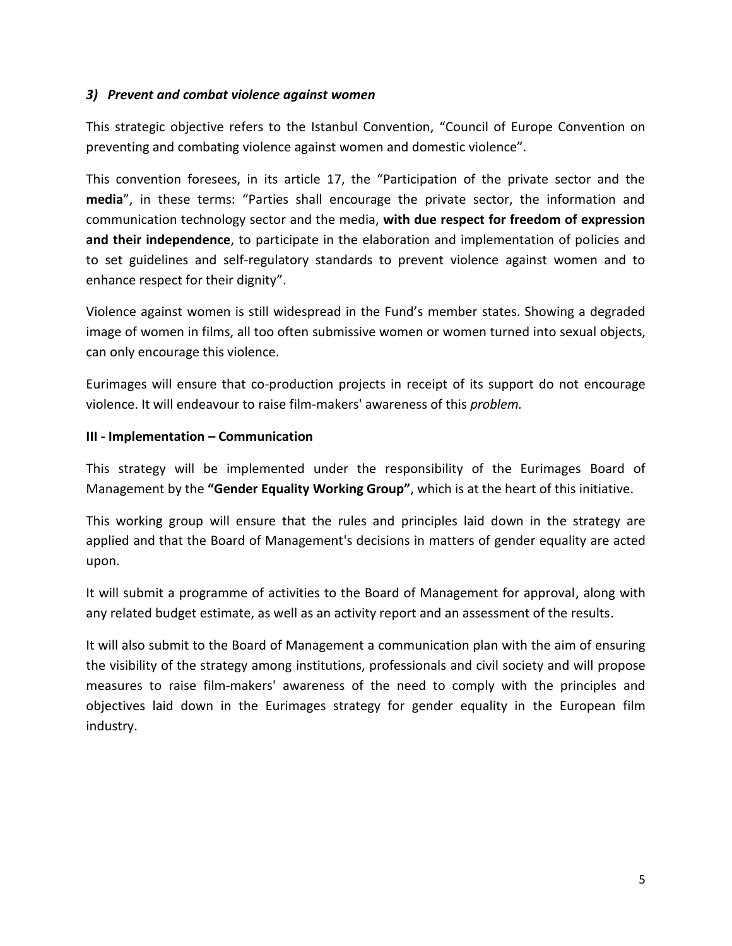#### *3) Prevent and combat violence against women*

This strategic objective refers to the Istanbul Convention, "Council of Europe Convention on preventing and combating violence against women and domestic violence".

This convention foresees, in its article 17, the "Participation of the private sector and the **media**", in these terms: "Parties shall encourage the private sector, the information and communication technology sector and the media, **with due respect for freedom of expression and their independence**, to participate in the elaboration and implementation of policies and to set guidelines and self-regulatory standards to prevent violence against women and to enhance respect for their dignity".

Violence against women is still widespread in the Fund's member states. Showing a degraded image of women in films, all too often submissive women or women turned into sexual objects, can only encourage this violence.

Eurimages will ensure that co-production projects in receipt of its support do not encourage violence. It will endeavour to raise film-makers' awareness of this *problem.*

#### **III - Implementation – Communication**

This strategy will be implemented under the responsibility of the Eurimages Board of Management by the **"Gender Equality Working Group"**, which is at the heart of this initiative.

This working group will ensure that the rules and principles laid down in the strategy are applied and that the Board of Management's decisions in matters of gender equality are acted upon.

It will submit a programme of activities to the Board of Management for approval, along with any related budget estimate, as well as an activity report and an assessment of the results.

It will also submit to the Board of Management a communication plan with the aim of ensuring the visibility of the strategy among institutions, professionals and civil society and will propose measures to raise film-makers' awareness of the need to comply with the principles and objectives laid down in the Eurimages strategy for gender equality in the European film industry.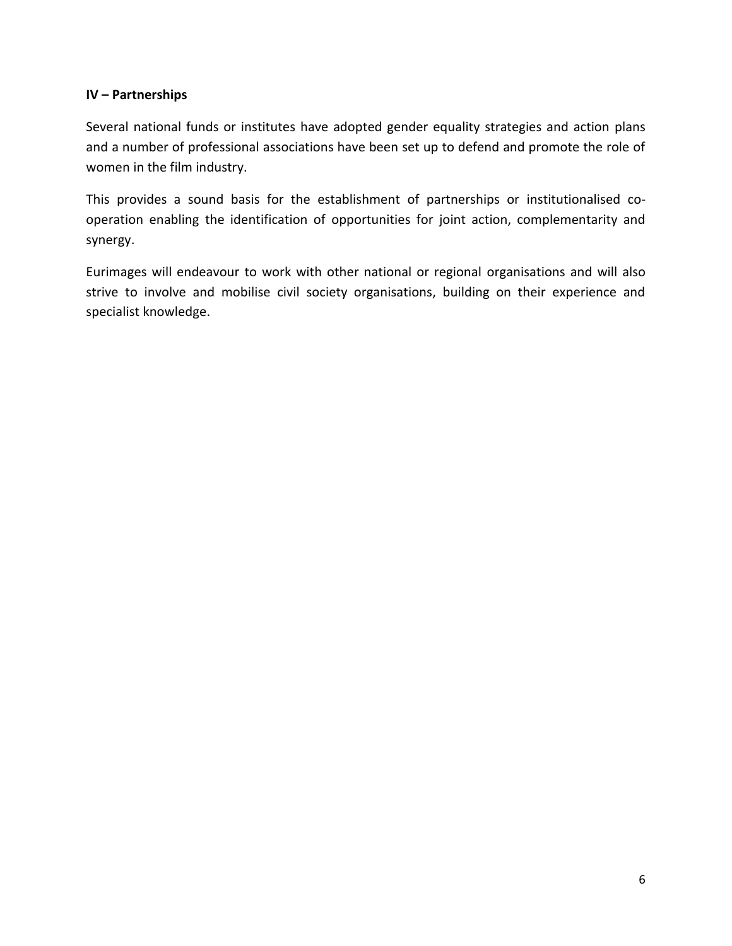#### **IV – Partnerships**

Several national funds or institutes have adopted gender equality strategies and action plans and a number of professional associations have been set up to defend and promote the role of women in the film industry.

This provides a sound basis for the establishment of partnerships or institutionalised cooperation enabling the identification of opportunities for joint action, complementarity and synergy.

Eurimages will endeavour to work with other national or regional organisations and will also strive to involve and mobilise civil society organisations, building on their experience and specialist knowledge.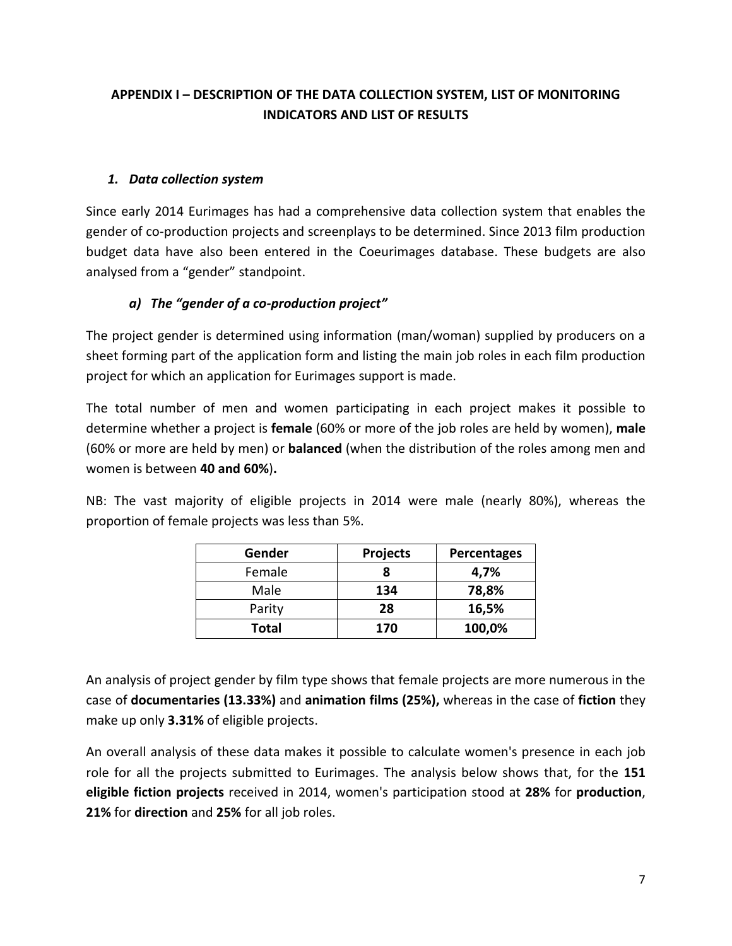# **APPENDIX I – DESCRIPTION OF THE DATA COLLECTION SYSTEM, LIST OF MONITORING INDICATORS AND LIST OF RESULTS**

## *1. Data collection system*

Since early 2014 Eurimages has had a comprehensive data collection system that enables the gender of co-production projects and screenplays to be determined. Since 2013 film production budget data have also been entered in the Coeurimages database. These budgets are also analysed from a "gender" standpoint.

# *a) The "gender of a co-production project"*

The project gender is determined using information (man/woman) supplied by producers on a sheet forming part of the application form and listing the main job roles in each film production project for which an application for Eurimages support is made.

The total number of men and women participating in each project makes it possible to determine whether a project is **female** (60% or more of the job roles are held by women), **male** (60% or more are held by men) or **balanced** (when the distribution of the roles among men and women is between **40 and 60%**)**.**

NB: The vast majority of eligible projects in 2014 were male (nearly 80%), whereas the proportion of female projects was less than 5%.

| Gender | <b>Projects</b><br><b>Percentages</b> |        |  |
|--------|---------------------------------------|--------|--|
| Female |                                       | 4,7%   |  |
| Male   | 134                                   | 78,8%  |  |
| Parity | 28                                    | 16,5%  |  |
| Total  | 170                                   | 100,0% |  |

An analysis of project gender by film type shows that female projects are more numerous in the case of **documentaries (13.33%)** and **animation films (25%),** whereas in the case of **fiction** they make up only **3.31%** of eligible projects.

An overall analysis of these data makes it possible to calculate women's presence in each job role for all the projects submitted to Eurimages. The analysis below shows that, for the **151 eligible fiction projects** received in 2014, women's participation stood at **28%** for **production**, **21%** for **direction** and **25%** for all job roles.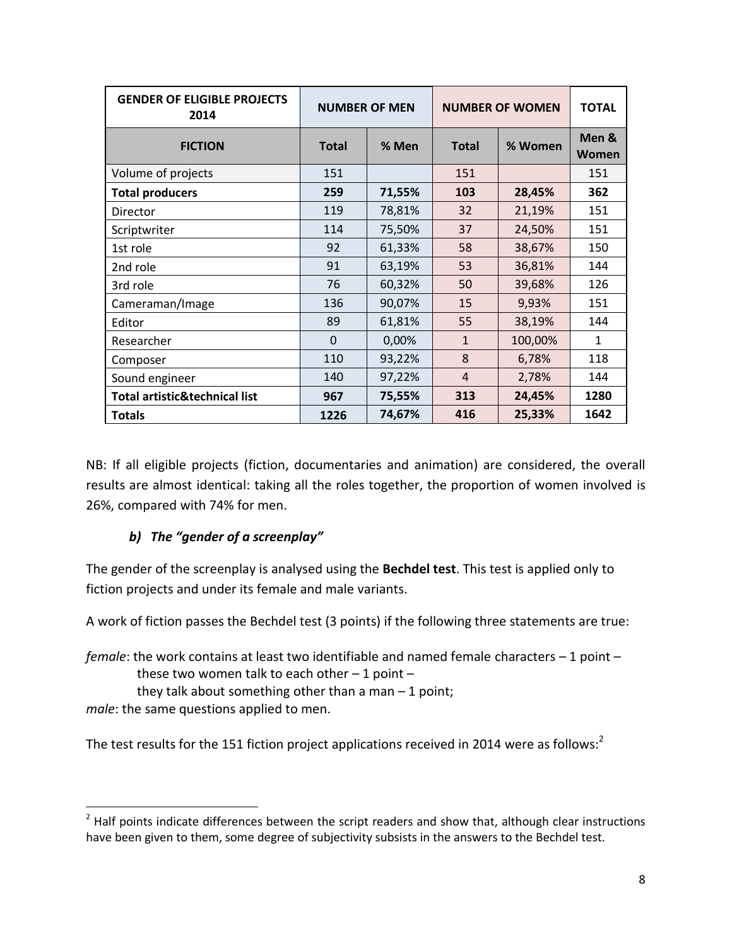| <b>GENDER OF ELIGIBLE PROJECTS</b><br>2014 | <b>NUMBER OF MEN</b> |        | <b>NUMBER OF WOMEN</b> | <b>TOTAL</b> |                |
|--------------------------------------------|----------------------|--------|------------------------|--------------|----------------|
| <b>FICTION</b>                             | <b>Total</b>         | % Men  | <b>Total</b>           | % Women      | Men &<br>Women |
| Volume of projects                         | 151                  |        | 151                    |              | 151            |
| <b>Total producers</b>                     | 259                  | 71,55% | 103                    | 28,45%       | 362            |
| Director                                   | 119                  | 78,81% | 32                     | 21,19%       | 151            |
| Scriptwriter                               | 114                  | 75,50% | 37                     | 24,50%       | 151            |
| 1st role                                   | 92                   | 61,33% | 58                     | 38,67%       | 150            |
| 2nd role                                   | 91                   | 63,19% | 53                     | 36,81%       | 144            |
| 3rd role                                   | 76                   | 60,32% | 50                     | 39,68%       | 126            |
| Cameraman/Image                            | 136                  | 90,07% | 15                     | 9,93%        | 151            |
| Editor                                     | 89                   | 61,81% | 55                     | 38,19%       | 144            |
| Researcher                                 | $\Omega$             | 0,00%  | $\mathbf{1}$           | 100,00%      | 1              |
| Composer                                   | 110                  | 93,22% | 8                      | 6,78%        | 118            |
| Sound engineer                             | 140                  | 97,22% | $\overline{4}$         | 2,78%        | 144            |
| <b>Total artistic&amp;technical list</b>   | 967                  | 75,55% | 313                    | 24,45%       | 1280           |
| <b>Totals</b>                              | 1226                 | 74,67% | 416                    | 25,33%       | 1642           |

NB: If all eligible projects (fiction, documentaries and animation) are considered, the overall results are almost identical: taking all the roles together, the proportion of women involved is 26%, compared with 74% for men.

## *b) The "gender of a screenplay"*

The gender of the screenplay is analysed using the **Bechdel test**. This test is applied only to fiction projects and under its female and male variants.

A work of fiction passes the Bechdel test (3 points) if the following three statements are true:

*female*: the work contains at least two identifiable and named female characters – 1 point – these two women talk to each other  $-1$  point  $$ they talk about something other than a man  $-1$  point;

*male*: the same questions applied to men.

l

The test results for the 151 fiction project applications received in 2014 were as follows:<sup>2</sup>

 $2$  Half points indicate differences between the script readers and show that, although clear instructions have been given to them, some degree of subjectivity subsists in the answers to the Bechdel test.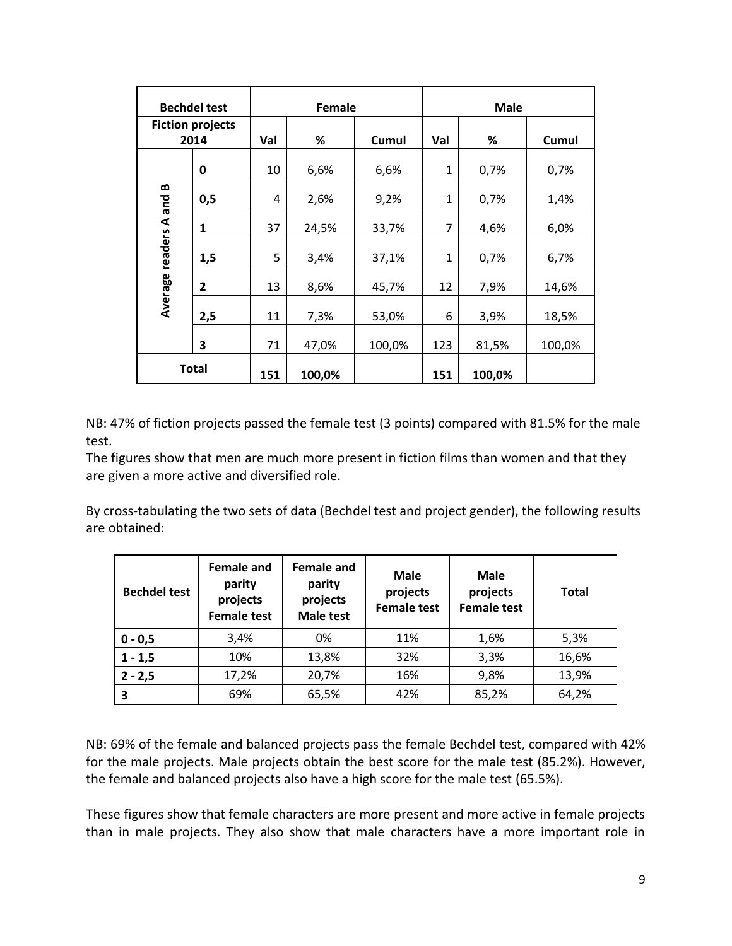|                                 | <b>Bechdel test</b> |     | Female |        |              | <b>Male</b> |        |
|---------------------------------|---------------------|-----|--------|--------|--------------|-------------|--------|
| <b>Fiction projects</b><br>2014 |                     | Val | %      | Cumul  | Val          | %           | Cumul  |
|                                 | 0                   | 10  | 6,6%   | 6,6%   | $\mathbf{1}$ | 0,7%        | 0,7%   |
| B                               | 0,5                 | 4   | 2,6%   | 9,2%   | $\mathbf{1}$ | 0,7%        | 1,4%   |
| Average readers A and           | 1                   | 37  | 24,5%  | 33,7%  | 7            | 4,6%        | 6,0%   |
|                                 | 1,5                 | 5   | 3,4%   | 37,1%  | 1            | 0,7%        | 6,7%   |
|                                 | $\mathbf{2}$        | 13  | 8,6%   | 45,7%  | 12           | 7,9%        | 14,6%  |
|                                 | 2,5                 | 11  | 7,3%   | 53,0%  | 6            | 3,9%        | 18,5%  |
|                                 | 3                   | 71  | 47,0%  | 100,0% | 123          | 81,5%       | 100,0% |
|                                 | <b>Total</b>        | 151 | 100,0% |        | 151          | 100,0%      |        |

NB: 47% of fiction projects passed the female test (3 points) compared with 81.5% for the male test.

The figures show that men are much more present in fiction films than women and that they are given a more active and diversified role.

By cross-tabulating the two sets of data (Bechdel test and project gender), the following results are obtained:

| <b>Bechdel test</b> | <b>Female and</b><br>parity<br>projects<br><b>Female test</b> | <b>Female and</b><br>parity<br>projects<br><b>Male test</b> | Male<br>projects<br><b>Female test</b> | <b>Male</b><br>projects<br><b>Female test</b> | <b>Total</b> |
|---------------------|---------------------------------------------------------------|-------------------------------------------------------------|----------------------------------------|-----------------------------------------------|--------------|
| $0 - 0,5$           | 3,4%                                                          | 0%                                                          | 11%                                    | 1,6%                                          | 5,3%         |
| $1 - 1,5$           | 10%                                                           | 13,8%                                                       | 32%                                    | 3,3%                                          | 16,6%        |
| $2 - 2,5$           | 17,2%                                                         | 20,7%                                                       | 16%                                    | 9,8%                                          | 13,9%        |
| 3                   | 69%                                                           | 65,5%                                                       | 42%                                    | 85,2%                                         | 64,2%        |

NB: 69% of the female and balanced projects pass the female Bechdel test, compared with 42% for the male projects. Male projects obtain the best score for the male test (85.2%). However, the female and balanced projects also have a high score for the male test (65.5%).

These figures show that female characters are more present and more active in female projects than in male projects. They also show that male characters have a more important role in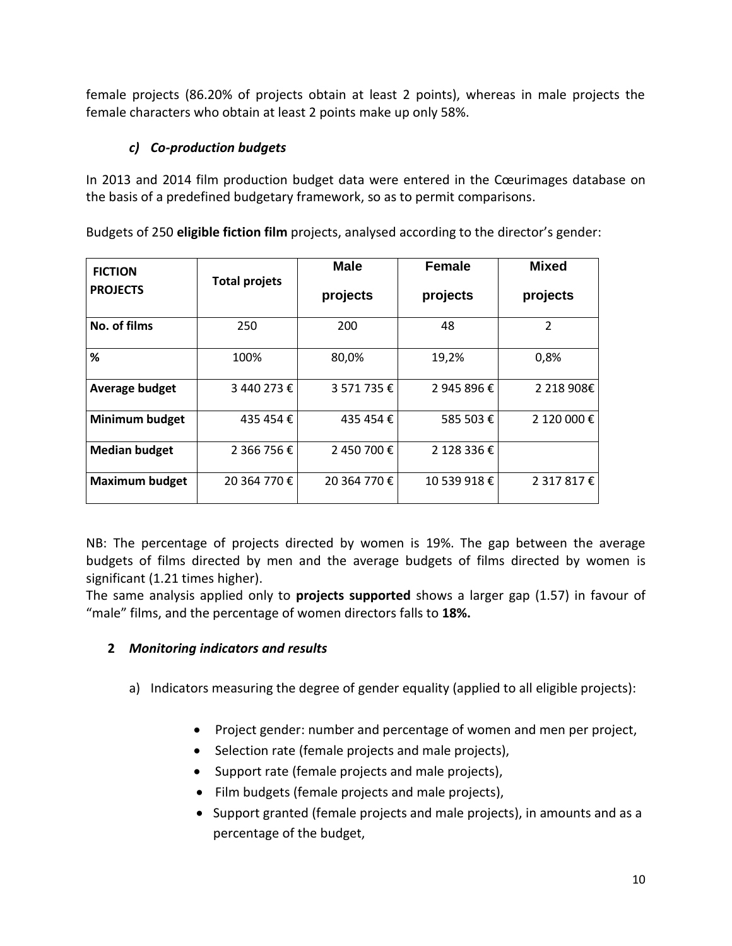female projects (86.20% of projects obtain at least 2 points), whereas in male projects the female characters who obtain at least 2 points make up only 58%.

# *c) Co-production budgets*

In 2013 and 2014 film production budget data were entered in the Cœurimages database on the basis of a predefined budgetary framework, so as to permit comparisons.

Budgets of 250 **eligible fiction film** projects, analysed according to the director's gender:

| <b>FICTION</b><br><b>PROJECTS</b> | <b>Total projets</b> | <b>Male</b><br>projects | <b>Female</b><br>projects | <b>Mixed</b><br>projects |
|-----------------------------------|----------------------|-------------------------|---------------------------|--------------------------|
| No. of films                      | 250                  | 200                     | 48                        | $\overline{2}$           |
| %                                 | 100%                 | 80,0%                   | 19,2%                     | 0,8%                     |
| Average budget                    | 3 440 273 €          | 3 571 735 €             | 2 945 896 €               | 2 218 908€               |
| <b>Minimum budget</b>             | 435 454 €            | 435 454 €               | 585 503€                  | 2 120 000 €              |
| <b>Median budget</b>              | 2 366 756 €          | 2 450 700 €             | 2 128 336 €               |                          |
| <b>Maximum budget</b>             | 20 364 770 €         | 20 364 770 €            | 10 539 918 €              | 2 317 817 €              |

NB: The percentage of projects directed by women is 19%. The gap between the average budgets of films directed by men and the average budgets of films directed by women is significant (1.21 times higher).

The same analysis applied only to **projects supported** shows a larger gap (1.57) in favour of "male" films, and the percentage of women directors falls to **18%.**

## **2** *Monitoring indicators and results*

- a) Indicators measuring the degree of gender equality (applied to all eligible projects):
	- Project gender: number and percentage of women and men per project,
	- Selection rate (female projects and male projects),
	- Support rate (female projects and male projects),
	- Film budgets (female projects and male projects),
	- Support granted (female projects and male projects), in amounts and as a percentage of the budget,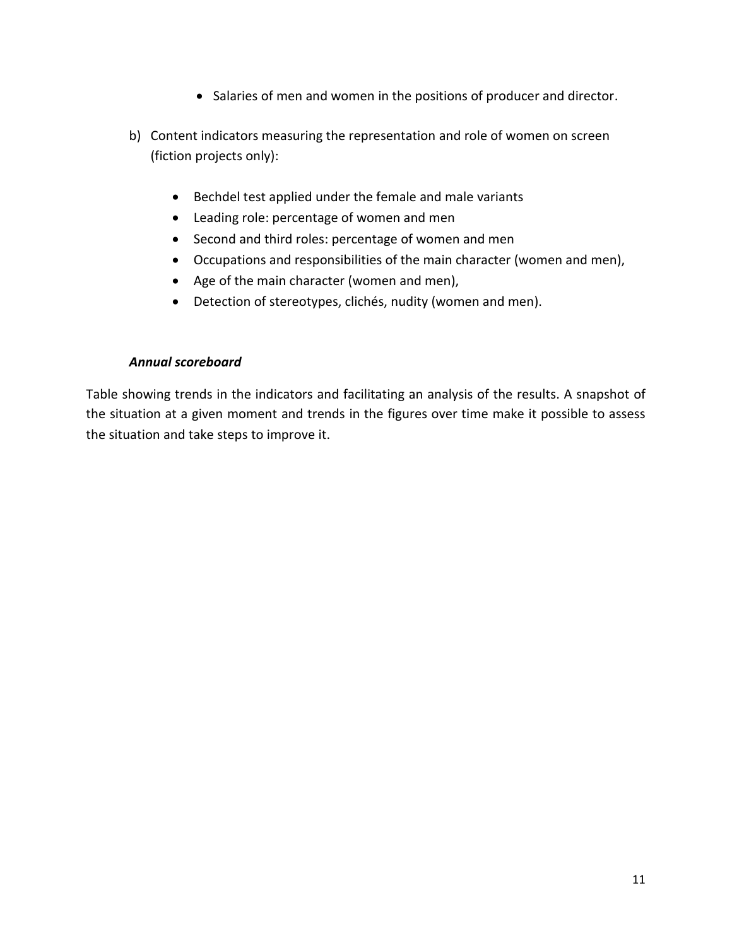- Salaries of men and women in the positions of producer and director.
- b) Content indicators measuring the representation and role of women on screen (fiction projects only):
	- Bechdel test applied under the female and male variants
	- Leading role: percentage of women and men
	- Second and third roles: percentage of women and men
	- Occupations and responsibilities of the main character (women and men),
	- Age of the main character (women and men),
	- Detection of stereotypes, clichés, nudity (women and men).

#### *Annual scoreboard*

Table showing trends in the indicators and facilitating an analysis of the results. A snapshot of the situation at a given moment and trends in the figures over time make it possible to assess the situation and take steps to improve it.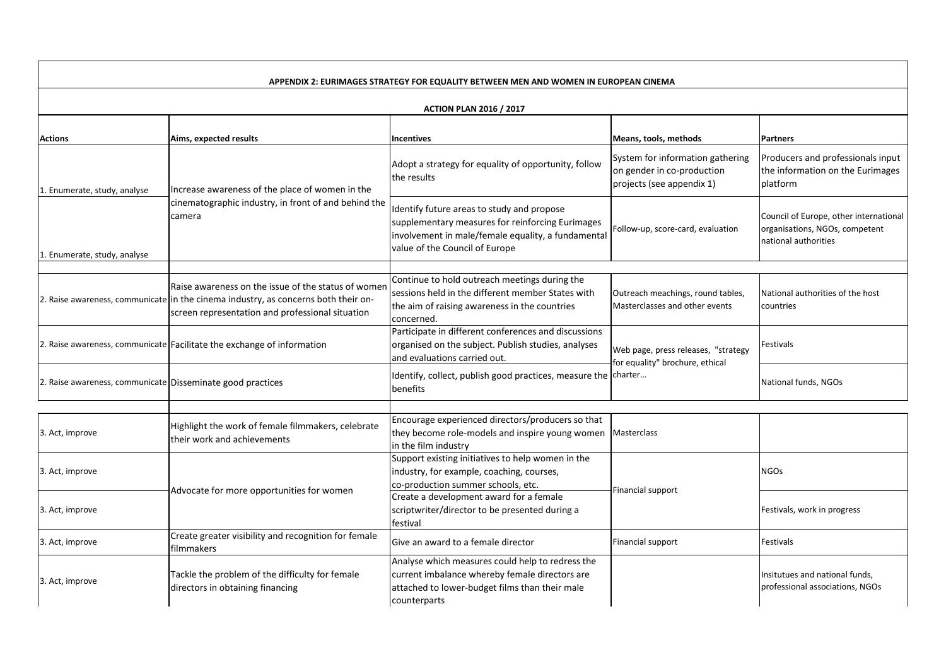| APPENDIX 2: EURIMAGES STRATEGY FOR EQUALITY BETWEEN MEN AND WOMEN IN EUROPEAN CINEMA |                                                                                                                                                                                               |                                                                                                                                                                                        |                                                                                             |                                                                                                  |  |  |  |
|--------------------------------------------------------------------------------------|-----------------------------------------------------------------------------------------------------------------------------------------------------------------------------------------------|----------------------------------------------------------------------------------------------------------------------------------------------------------------------------------------|---------------------------------------------------------------------------------------------|--------------------------------------------------------------------------------------------------|--|--|--|
| <b>ACTION PLAN 2016 / 2017</b>                                                       |                                                                                                                                                                                               |                                                                                                                                                                                        |                                                                                             |                                                                                                  |  |  |  |
| <b>Actions</b>                                                                       | Aims, expected results                                                                                                                                                                        | <b>Incentives</b>                                                                                                                                                                      | Means, tools, methods                                                                       | <b>Partners</b>                                                                                  |  |  |  |
| 1. Enumerate, study, analyse                                                         | Increase awareness of the place of women in the                                                                                                                                               | Adopt a strategy for equality of opportunity, follow<br>the results                                                                                                                    | System for information gathering<br>on gender in co-production<br>projects (see appendix 1) | Producers and professionals input<br>the information on the Eurimages<br>platform                |  |  |  |
| 1. Enumerate, study, analyse                                                         | cinematographic industry, in front of and behind the<br>camera                                                                                                                                | Identify future areas to study and propose<br>supplementary measures for reinforcing Eurimages<br>involvement in male/female equality, a fundamental<br>value of the Council of Europe | Follow-up, score-card, evaluation                                                           | Council of Europe, other international<br>organisations, NGOs, competent<br>national authorities |  |  |  |
|                                                                                      |                                                                                                                                                                                               |                                                                                                                                                                                        |                                                                                             |                                                                                                  |  |  |  |
|                                                                                      | Raise awareness on the issue of the status of women<br>2. Raise awareness, communicate in the cinema industry, as concerns both their on-<br>screen representation and professional situation | Continue to hold outreach meetings during the<br>sessions held in the different member States with<br>the aim of raising awareness in the countries<br>concerned                       | Outreach meachings, round tables,<br>Masterclasses and other events                         | National authorities of the host<br>countries                                                    |  |  |  |
|                                                                                      | 2. Raise awareness, communicate Facilitate the exchange of information                                                                                                                        | Participate in different conferences and discussions<br>organised on the subject. Publish studies, analyses<br>and evaluations carried out.                                            | Web page, press releases, "strategy<br>for equality" brochure, ethical                      | Festivals                                                                                        |  |  |  |
| 2. Raise awareness, communicate Disseminate good practices                           |                                                                                                                                                                                               | Identify, collect, publish good practices, measure the charter<br>benefits                                                                                                             |                                                                                             | National funds, NGOs                                                                             |  |  |  |
|                                                                                      |                                                                                                                                                                                               |                                                                                                                                                                                        |                                                                                             |                                                                                                  |  |  |  |
| 3. Act, improve                                                                      | Highlight the work of female filmmakers, celebrate<br>their work and achievements                                                                                                             | Encourage experienced directors/producers so that<br>they become role-models and inspire young women<br>in the film industry                                                           | Masterclass                                                                                 |                                                                                                  |  |  |  |
| 3. Act, improve                                                                      |                                                                                                                                                                                               | Support existing initiatives to help women in the<br>industry, for example, coaching, courses,<br>co-production summer schools, etc.                                                   |                                                                                             | <b>NGOs</b>                                                                                      |  |  |  |
| 3. Act, improve                                                                      | Advocate for more opportunities for women                                                                                                                                                     | Create a development award for a female<br>scriptwriter/director to be presented during a<br>festival                                                                                  | Financial support                                                                           | Festivals, work in progress                                                                      |  |  |  |
| 3. Act, improve                                                                      | Create greater visibility and recognition for female<br>filmmakers                                                                                                                            | Give an award to a female director                                                                                                                                                     | Financial support                                                                           | Festivals                                                                                        |  |  |  |
| 3. Act, improve                                                                      | Tackle the problem of the difficulty for female<br>directors in obtaining financing                                                                                                           | Analyse which measures could help to redress the<br>current imbalance whereby female directors are<br>attached to lower-budget films than their male<br>counterparts                   |                                                                                             | Insitutues and national funds,<br>professional associations, NGOs                                |  |  |  |